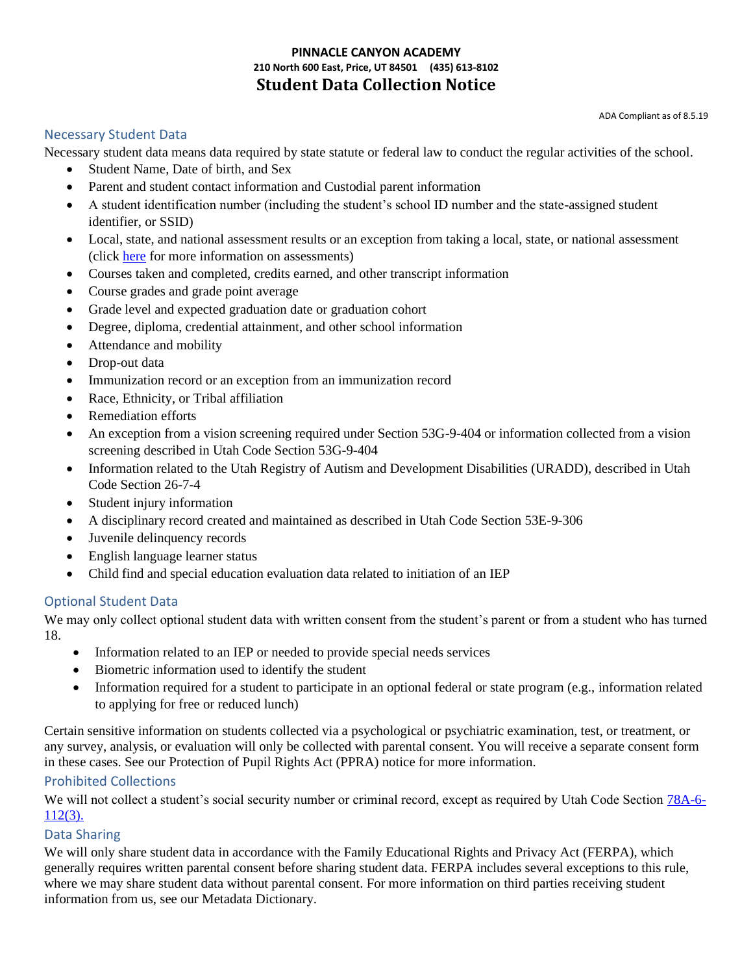## **PINNACLE CANYON ACADEMY 210 North 600 East, Price, UT 84501 (435) 613-8102 Student Data Collection Notice**

## Necessary Student Data

Necessary student data means data required by state statute or federal law to conduct the regular activities of the school.

- Student Name, Date of birth, and Sex
- Parent and student contact information and Custodial parent information
- A student identification number (including the student's school ID number and the state-assigned student identifier, or SSID)
- Local, state, and national assessment results or an exception from taking a local, state, or national assessment (click here for more information on assessments)
- Courses taken and completed, credits earned, and other transcript information
- Course grades and grade point average
- Grade level and expected graduation date or graduation cohort
- Degree, diploma, credential attainment, and other school information
- Attendance and mobility
- Drop-out data
- Immunization record or an exception from an immunization record
- Race, Ethnicity, or Tribal affiliation
- Remediation efforts
- An exception from a vision screening required under Section 53G-9-404 or information collected from a vision screening described in Utah Code Section 53G-9-404
- Information related to the Utah Registry of Autism and Development Disabilities (URADD), described in Utah Code Section 26-7-4
- Student injury information
- A disciplinary record created and maintained as described in Utah Code Section 53E-9-306
- Juvenile delinquency records
- English language learner status
- Child find and special education evaluation data related to initiation of an IEP

# Optional Student Data

We may only collect optional student data with written consent from the student's parent or from a student who has turned 18.

- Information related to an IEP or needed to provide special needs services
- Biometric information used to identify the student
- Information required for a student to participate in an optional federal or state program (e.g., information related to applying for free or reduced lunch)

Certain sensitive information on students collected via a psychological or psychiatric examination, test, or treatment, or any survey, analysis, or evaluation will only be collected with parental consent. You will receive a separate consent form in these cases. See our Protection of Pupil Rights Act (PPRA) notice for more information.

#### Prohibited Collections

We will not collect a student's social security number or criminal record, except as required by Utah Code Section 78A-6-112(3).

#### Data Sharing

We will only share student data in accordance with the Family Educational Rights and Privacy Act (FERPA), which generally requires written parental consent before sharing student data. FERPA includes several exceptions to this rule, where we may share student data without parental consent. For more information on third parties receiving student information from us, see our Metadata Dictionary.